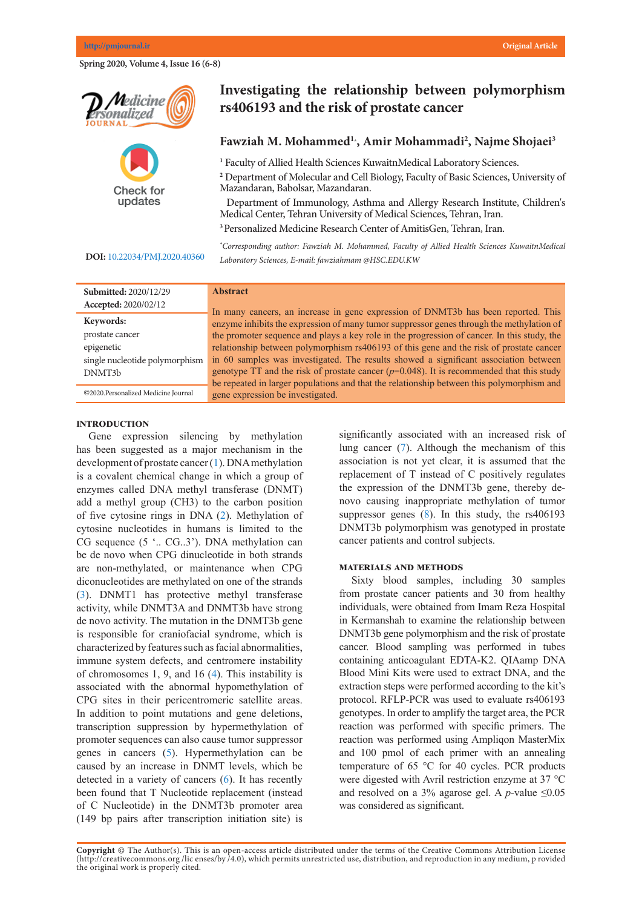**Spring 2020, Volume 4, Issue 16 (6-8)** 





# Investigating the relationship between polymorphism **13 or 5406193 and the risk of prostate cancer**

## Fawziah M. Mohammed<sup>1</sup><sup>2</sup>, Amir Mohammadi<sup>2</sup>, Najme Shojaei<sup>3</sup>

<sup>2</sup> Department of Molecular and Cell Biology, Faculty of Basic Sciences, University of *\*Corresponding author: Mohammad Ali Saremi, Personalized Medicine Research Center of AmitisGen, Tehran, Iran. E-mail: masaremi@yahoo.com* Department of Immunology, Asthma and Allergy Research Institute, Children's **1** Faculty of Allied Health Sciences KuwaitnMedical Laboratory Sciences. Mazandaran, Babolsar, Mazandaran. Medical Center, Tehran University of Medical Sciences, Tehran, Iran.

**<sup>3</sup>**Personalized Medicine Research Center of AmitisGen, Tehran, Iran.

**Abstract** *\* Corresponding author: Fawziah M. Mohammed, Faculty of Allied Health Sciences KuwaitnMedical*  Laboratory Sciences, E-mail: fawziahmam @HSC.EDU.KW

| DOI: 10.22034/PMJ.2020.40360 |  |
|------------------------------|--|
|                              |  |

| <b>Submitted: 2020/12/29</b><br>Accepted: 2020/02/12 | <b>Abstract</b>                                                                                                                                                                                                                                                                                                      |  |  |  |  |
|------------------------------------------------------|----------------------------------------------------------------------------------------------------------------------------------------------------------------------------------------------------------------------------------------------------------------------------------------------------------------------|--|--|--|--|
| Keywords:<br>prostate cancer                         | In many cancers, an increase in gene expression of DNMT3b has been reported. This<br>enzyme inhibits the expression of many tumor suppressor genes through the methylation of                                                                                                                                        |  |  |  |  |
| epigenetic                                           | the promoter sequence and plays a key role in the progression of cancer. In this study, the<br>relationship between polymorphism rs406193 of this gene and the risk of prostate cancer                                                                                                                               |  |  |  |  |
| single nucleotide polymorphism<br>DNMT3b             | in 60 samples was investigated. The results showed a significant association between<br>genotype TT and the risk of prostate cancer $(p=0.048)$ . It is recommended that this study<br>be repeated in larger populations and that the relationship between this polymorphism and<br>gene expression be investigated. |  |  |  |  |
| ©2020.Personalized Medicine Journal                  |                                                                                                                                                                                                                                                                                                                      |  |  |  |  |

#### **Introduction**

Gene expression silencing by methylation has been suggested as a major mechanism in the development of prostate cancer ([1\)](#page-1-0). DNA methylation is a covalent chemical change in which a group of enzymes called DNA methyl transferase (DNMT) add a methyl group (CH3) to the carbon position of five cytosine rings in DNA (2). Methylation of cytosine nucleotides in humans is limited to the CG sequence (5 '.. CG..3'). DNA methylation can be de novo when CPG dinucleotide in both strands are non-methylated, or maintenance when CPG diconucleotides are methylated on one of the strands [\(3](#page-1-0)). DNMT1 has protective methyl transferase activity, while DNMT3A and DNMT3b have strong de novo activity. The mutation in the DNMT3b gene is responsible for craniofacial syndrome, which is characterized by features such as facial abnormalities, immune system defects, and centromere instability of chromosomes 1, 9, and 16  $(4)$  $(4)$ . This instability is  $\alpha$  is associated with the abnormal hypomethylation of associated with the deficition. Hyperflexity fallows or CPG sites in their pericentromeric satellite areas. In addition to point mutations and gene deletions, transcription suppression by hypermethylation of promoter sequences can also cause tumor suppressor promoter sequences can also cause tumor suppressor promoter sequences can also cause tamor suppressor genes in cancers [\(5](#page-1-0)). Hypermethylation can be genes in cancers  $(3)$ . Typermetry attorn can be caused by an increase in DNMT levels, which be detected in a variety of cancers  $(6)$  $(6)$ . It has recently been found that T Nucleotide replacement (instead<br>
have been able to identify the DNA<br>
fixed by COM of C Nucleotide) in the DNMT3b promoter area  $(149$  bp pairs after transcription initiation site) is  $\frac{1}{2}$  discussed by an increase in Divided Tevers, which b

significantly associated with an increased risk of lung cancer ([7\)](#page-1-0). Although the mechanism of this association is not yet clear, it is assumed that the replacement of T instead of C positively regulates the expression of the DNMT3b gene, thereby denovo causing inappropriate methylation of tumor suppressor genes  $(8)$  $(8)$ . In this study, the rs406193 DNMT3b polymorphism was genotyped in prostate cancer patients and control subjects. physician to choose the appropriate treatment.

## **MATERIALS AND METHODS**

Sixty blood samples, including 30 samples from prostate cancer patients and 30 from healthy individuals, were obtained from Imam Reza Hospital in Kermanshah to examine the relationship between DNMT3b gene polymorphism and the risk of prostate cancer. Blood sampling was performed in tubes containing anticoagulant EDTA-K2. QIAamp DNA Blood Mini Kits were used to extract DNA, and the extraction steps were performed according to the kit's protocol. RFLP-PCR was used to evaluate rs406193 genotypes. In order to amplify the target area, the PCR genergies. In order to ampling the target area, the 1 cre reaction was performed with specific primers. The reaction was performed using Ampliqon MasterMix and 100 pmol of each primer with an annealing temperature of  $65^{\circ}$ C for 40 cycles. PCR products were digested with Avril restriction enzyme at  $37^{\circ}$ C and resolved on a 3% agarose gel. A  $p$ -value  $\leq 0.05$ was considered as significant. were digested with AVIII restriction enzyme at  $37/8$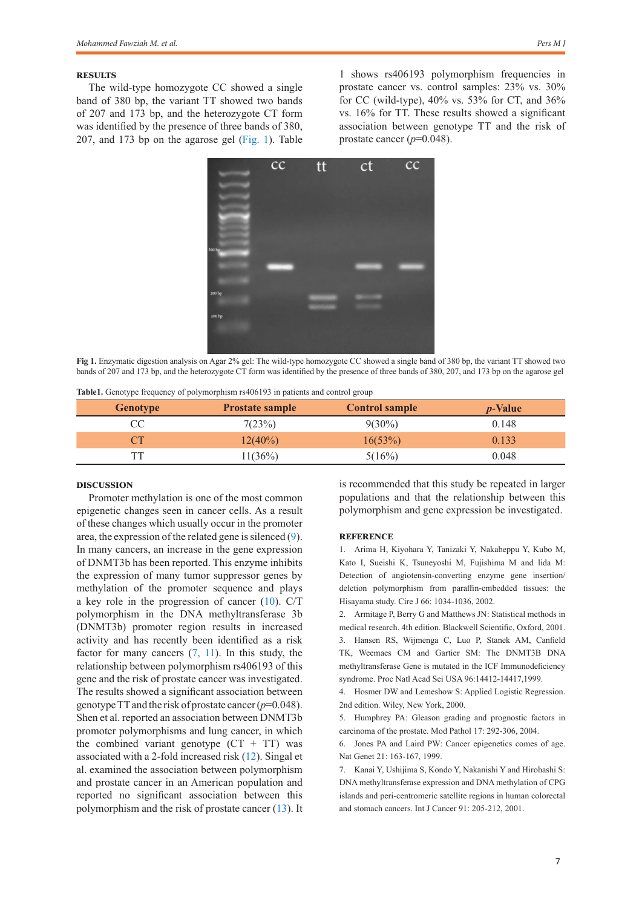## **Results**

The wild-type homozygote CC showed a single band of 380 bp, the variant TT showed two bands of 207 and 173 bp, and the heterozygote CT form was identified by the presence of three bands of 380, 207, and 173 bp on the agarose gel ([Fig. 1](#page-1-1)). Table

1 shows rs406193 polymorphism frequencies in prostate cancer vs. control samples: 23% vs. 30% for CC (wild-type), 40% vs. 53% for CT, and 36% vs. 16% for TT. These results showed a significant association between genotype TT and the risk of prostate cancer (*p*=0.048).



<span id="page-1-1"></span>**Fig 1.** Enzymatic digestion analysis on Agar 2% gel: The wild-type homozygote CC showed a single band of 380 bp, the variant TT showed two bands of 207 and 173 bp, and the heterozygote CT form was identified by the presence of three bands of 380, 207, and 173 bp on the agarose gel

|  |  | Table1. Genotype frequency of polymorphism rs406193 in patients and control group |  |
|--|--|-----------------------------------------------------------------------------------|--|
|  |  |                                                                                   |  |

| <b>Genotype</b> | <b>Prostate sample</b> | <b>Control sample</b> | <i>p</i> -Value |
|-----------------|------------------------|-----------------------|-----------------|
|                 | 7(23%)                 | $9(30\%)$             | 0.148           |
|                 | $12(40\%)$             | 16(53%)               | 0.133           |
|                 | 11(36%)                | 5(16%)                | 0.048           |

## **Discussion**

Promoter methylation is one of the most common epigenetic changes seen in cancer cells. As a result of these changes which usually occur in the promoter area, the expression of the related gene is silenced ([9\)](#page-1-0). In many cancers, an increase in the gene expression of DNMT3b has been reported. This enzyme inhibits the expression of many tumor suppressor genes by methylation of the promoter sequence and plays a key role in the progression of cancer [\(10](#page-2-0)). C/T polymorphism in the DNA methyltransferase 3b (DNMT3b) promoter region results in increased activity and has recently been identified as a risk factor for many cancers  $(7, 11)$  $(7, 11)$  $(7, 11)$ . In this study, the relationship between polymorphism rs406193 of this gene and the risk of prostate cancer was investigated. The results showed a significant association between genotype TT and the risk of prostate cancer (*p*=0.048). Shen et al. reported an association between DNMT3b promoter polymorphisms and lung cancer, in which the combined variant genotype  $(CT + TT)$  was associated with a 2-fold increased risk ([12\)](#page-2-2). Singal et al. examined the association between polymorphism and prostate cancer in an American population and reported no significant association between this polymorphism and the risk of prostate cancer [\(13](#page-2-3)). It is recommended that this study be repeated in larger populations and that the relationship between this polymorphism and gene expression be investigated.

## **Reference**

<span id="page-1-0"></span>1. Arima H, Kiyohara Y, Tanizaki Y, Nakabeppu Y, Kubo M, Kato I, Sueishi K, Tsuneyoshi M, Fujishima M and lida M: Detection of angiotensin-converting enzyme gene insertion/ deletion polymorphism from paraffin-embedded tissues: the Hisayama study. Cire J 66: 1034-1036, 2002.

2. Armitage P, Berry G and Matthews JN: Statistical methods in medical research. 4th edition. Blackwell Scientific, Oxford, 2001. 3. Hansen RS, Wijmenga C, Luo P, Stanek AM, Canfield TK, Weemaes CM and Gartier SM: The DNMT3B DNA methyltransferase Gene is mutated in the ICF Immunodeficiency syndrome. Proc Natl Acad Sei USA 96:14412-14417,1999.

4. Hosmer DW and Lemeshow S: Applied Logistic Regression. 2nd edition. Wiley, New York, 2000.

5. Humphrey PA: Gleason grading and prognostic factors in carcinoma of the prostate. Mod Pathol 17: 292-306, 2004.

6. Jones PA and Laird PW: Cancer epigenetics comes of age. Nat Genet 21: 163-167, 1999.

7. Kanai Y, Ushijima S, Kondo Y, Nakanishi Y and Hirohashi S: DNA methyltransferase expression and DNA methylation of CPG islands and peri-centromeric satellite regions in human colorectal and stomach cancers. Int J Cancer 91: 205-212, 2001.